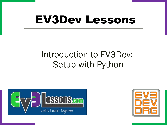# EV3Dev Lessons

#### Introduction to EV3Dev: Setup with Python



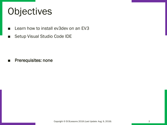## **Objectives**

- Learn how to install ev3dev on an EV3
- Setup Visual Studio Code IDE

■ Prerequisites: none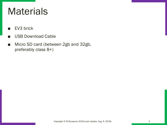#### **Materials**

- EV3 brick
- **USB Download Cable**
- Micro SD card (between 2gb and 32gb, preferably class 8+)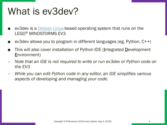#### What is ev3dev?

- ev3dev is a **[Debian Linux-](https://www.debian.org/)based operating system that runs on the** LEGO® MINDSTORMS EV3
- $ev3$ dev allows you to program in different languages (eg. Python,  $C^{++}$ )
- This will also cover installation of Python IDE (Integrated Development Environment)
- *Note that an IDE is not required to write or run ev3dev or Python code on the EV3*
- *While you can edit Python code in any editor, an IDE simplifies various aspects of developing and managing your code.*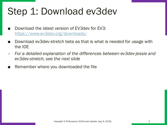# Step 1: Download ev3dev

- Download the latest version of EV3dev for EV3: <https://www.ev3dev.org/downloads/>
- Download ev3dev-stretch beta as that is what is needed for usage with the IDE
- *For a detailed explanation of the differences between ev3dev-jessie and ev3dev-stretch, see the next slide*
- Remember where you downloaded the file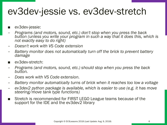#### ev3dev-jessie vs. ev3dev-stretch

- ev3dev-jessie:
- *Programs (and motors, sound, etc.) don't stop when you press the back button (unless you write your program in such a way that it does this, which is not exactly easy to do right)*
- *Doesn't work with VS Code extension*
- *Battery monitor does not automatically turn off the brick to prevent battery damage*
- ev3dev-stretch:
- *Programs (and motors, sound, etc.) should stop when you press the back button.*
- *Does work with VS Code extension.*
- *Battery monitor automatically turns of brick when it reaches too low a voltage*
- *ev3dev2 python package is available, which is easier to use (e.g. it has move steering/move tank type functions)*
- Stretch is recommended for FIRST LEGO League teams because of the support for the IDE and the ev3dev2 library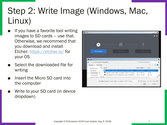#### Step 2: Write Image (Windows, Mac, Linux)

- If you have a favorite tool writing images to SD cards – use that. Otherwise, we recommend that you download and install Etcher: <https://etcher.io/> for your OS
- Select the downloaded file for writing
- Insert the Micro SD card into the computer
- Write to your SD card (in device dropdown)

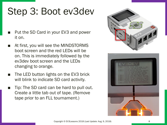# Step 3: Boot ev3dev

- Put the SD Card in your EV3 and power it on.
- At first, you will see the MINDSTORMS boot screen and the red LEDs will be on. This is immediately followed by the ev3dev boot screen and the LEDs changing to orange.
- The LED button lights on the EV3 brick will blink to indicate SD card activity.
- Tip: The SD card can be hard to pull out. Create a little tab out of tape. (Remove tape prior to an FLL tournament.)



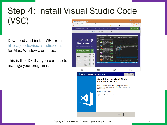#### Step 4: Install Visual Studio Code (VSC) Visual Studio Code - Cod X **A** Secure https://code.visualstudio.com M The Prealgebra Math Vid [ ] world class FLL score [ ] Free Production Mus [ ] Royalty Free Music [ 3 Website Templates

Download and install VSC from <https://code.visualstudio.com/> for Mac, Windows, or Linux.

This is the IDE that you can use to manage your programs.

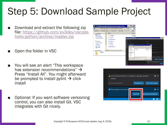# Step 5: Download Sample Project

- Download and extract the following zip [file: https://github.com/ev3dev/vscode](https://github.com/ev3dev/vscode-hello-python/archive/master.zip)hello-python/archive/master.zip
- Open the folder in VSC
- You will see an alert "This workspace" has extension recommendations"  $\rightarrow$ Press "Install All". You might afterward be prompted to install pylint  $\rightarrow$  click install
- Optional: If you want software versioning control, you can also install Git. VSC integrates with Git nicely.



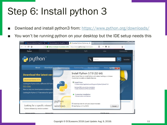# Step 6: Install python 3

- Download and install python3 from:<https://www.python.org/downloads/>
- You won't be running python on your desktop but the IDE setup needs this

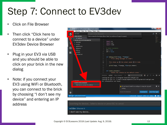# Step 7: Connect to EV3dev

- Click on File Browser
- Then click "Click here to connect to a device" under EV3dev Device Browser
- Plug in your EV3 via USB and you should be able to click on your brick in the new dialog
- Note: if you connect your EV3 using WiFi or Bluetooth, you can connect to the brick by choosing "I don't see my device" and entering an IP address



#### ev3dev Ethernet 4

I don't see my device...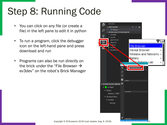# Step 8: Running Code

- You can click on any file (or create a file) in the left pane to edit it in python
- To run a program, click the debugger icon on the left-hand pane and press download and run
- Programs can also be run directly on the brick under the "File Browser  $\rightarrow$ ev3dev" on the robot's Brick Manager



Copyright © EV3Lessons 2018 (Last Update: Aug. 9, 2018)